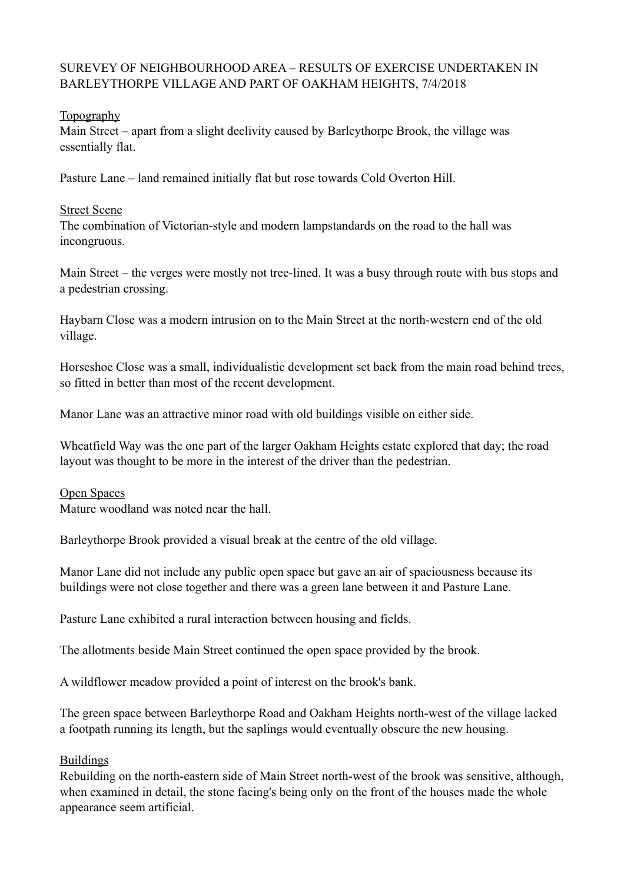## SUREVEY OF NEIGHBOURHOOD AREA – RESULTS OF EXERCISE UNDERTAKEN IN BARLEYTHORPE VILLAGE AND PART OF OAKHAM HEIGHTS, 7/4/2018

## Topography

Main Street – apart from a slight declivity caused by Barleythorpe Brook, the village was essentially flat.

Pasture Lane – land remained initially flat but rose towards Cold Overton Hill.

## Street Scene

The combination of Victorian-style and modern lampstandards on the road to the hall was incongruous.

Main Street – the verges were mostly not tree-lined. It was a busy through route with bus stops and a pedestrian crossing.

Haybarn Close was a modern intrusion on to the Main Street at the north-western end of the old village.

Horseshoe Close was a small, individualistic development set back from the main road behind trees, so fitted in better than most of the recent development.

Manor Lane was an attractive minor road with old buildings visible on either side.

Wheatfield Way was the one part of the larger Oakham Heights estate explored that day; the road layout was thought to be more in the interest of the driver than the pedestrian.

#### Open Spaces Mature woodland was noted near the hall.

Barleythorpe Brook provided a visual break at the centre of the old village.

Manor Lane did not include any public open space but gave an air of spaciousness because its buildings were not close together and there was a green lane between it and Pasture Lane.

Pasture Lane exhibited a rural interaction between housing and fields.

The allotments beside Main Street continued the open space provided by the brook.

A wildflower meadow provided a point of interest on the brook's bank.

The green space between Barleythorpe Road and Oakham Heights north-west of the village lacked a footpath running its length, but the saplings would eventually obscure the new housing.

# Buildings

Rebuilding on the north-eastern side of Main Street north-west of the brook was sensitive, although, when examined in detail, the stone facing's being only on the front of the houses made the whole appearance seem artificial.